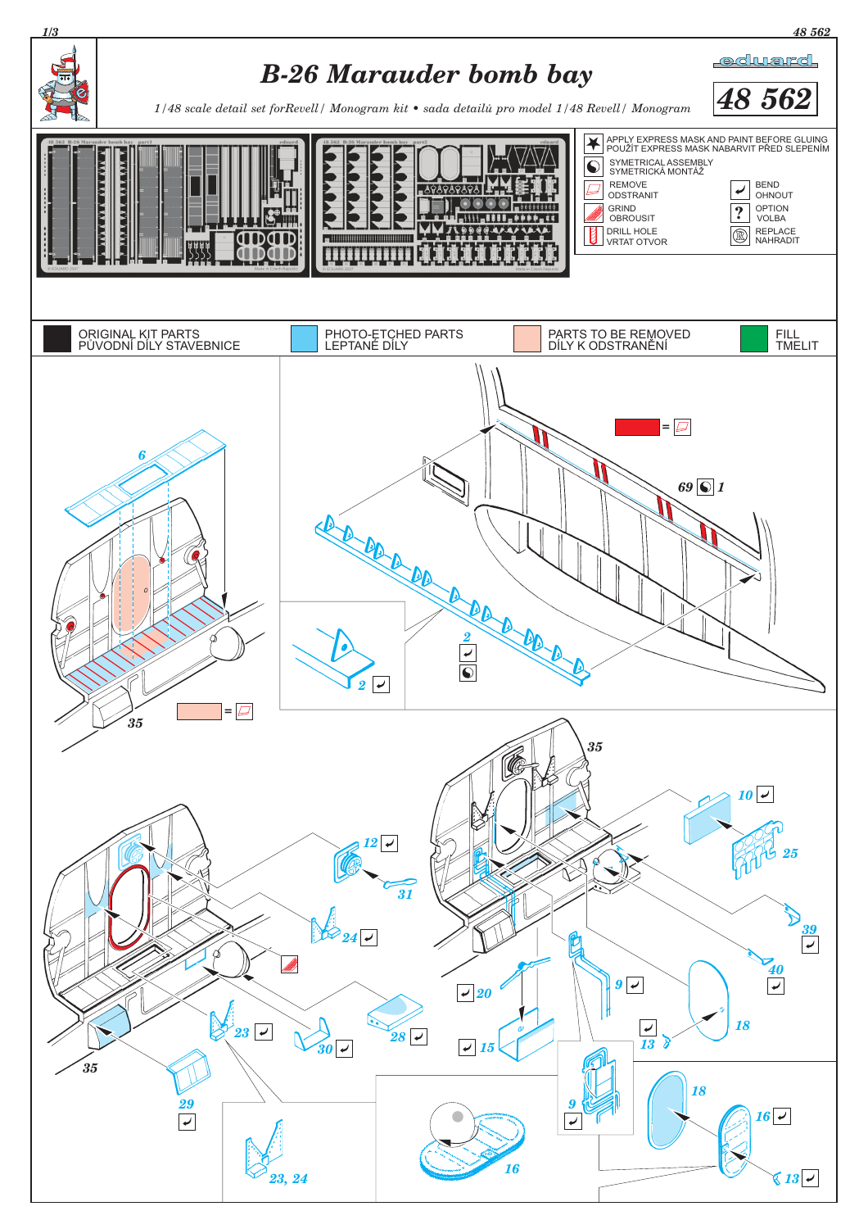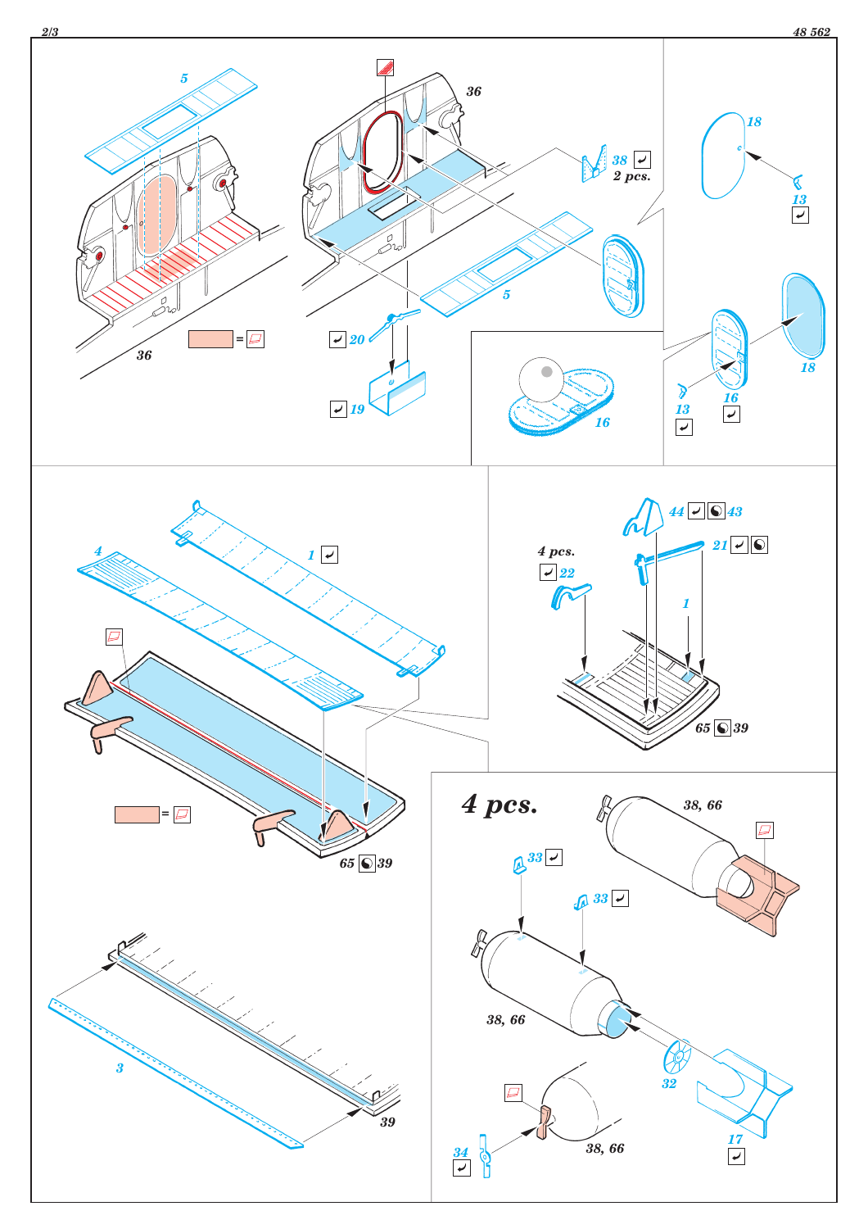